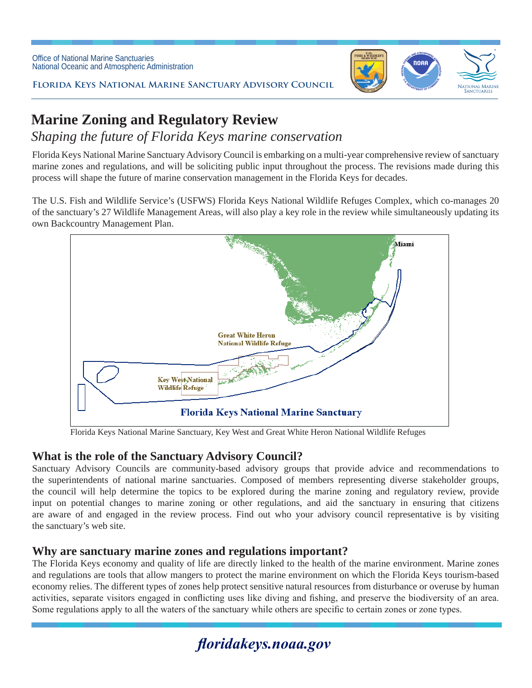

**Florida Keys National Marine Sanctuary Advisory Council**

# **Marine Zoning and Regulatory Review**

# *Shaping the future of Florida Keys marine conservation*

Florida Keys National Marine Sanctuary Advisory Council is embarking on a multi-year comprehensive review of sanctuary marine zones and regulations, and will be soliciting public input throughout the process. The revisions made during this process will shape the future of marine conservation management in the Florida Keys for decades.

The U.S. Fish and Wildlife Service's (USFWS) Florida Keys National Wildlife Refuges Complex, which co-manages 20 of the sanctuary's 27 Wildlife Management Areas, will also play a key role in the review while simultaneously updating its own Backcountry Management Plan.



Florida Keys National Marine Sanctuary, Key West and Great White Heron National Wildlife Refuges

### **What is the role of the Sanctuary Advisory Council?**

Sanctuary Advisory Councils are community-based advisory groups that provide advice and recommendations to the superintendents of national marine sanctuaries. Composed of members representing diverse stakeholder groups, the council will help determine the topics to be explored during the marine zoning and regulatory review, provide input on potential changes to marine zoning or other regulations, and aid the sanctuary in ensuring that citizens are aware of and engaged in the review process. Find out who your advisory council representative is by visiting the sanctuary's web site.

#### **Why are sanctuary marine zones and regulations important?**

The Florida Keys economy and quality of life are directly linked to the health of the marine environment. Marine zones and regulations are tools that allow mangers to protect the marine environment on which the Florida Keys tourism-based economy relies. The different types of zones help protect sensitive natural resources from disturbance or overuse by human activities, separate visitors engaged in conflicting uses like diving and fishing, and preserve the biodiversity of an area. Some regulations apply to all the waters of the sanctuary while others are specific to certain zones or zone types.